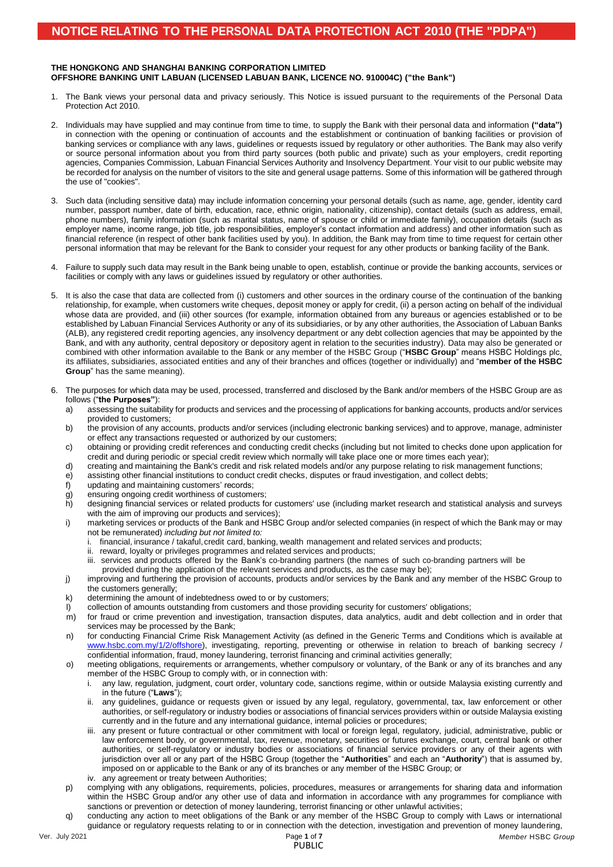### **THE HONGKONG AND SHANGHAI BANKING CORPORATION LIMITED OFFSHORE BANKING UNIT LABUAN (LICENSED LABUAN BANK, LICENCE NO. 910004C) ("the Bank")**

- 1. The Bank views your personal data and privacy seriously. This Notice is issued pursuant to the requirements of the Personal Data Protection Act 2010.
- 2. Individuals may have supplied and may continue from time to time, to supply the Bank with their personal data and information **("data")** in connection with the opening or continuation of accounts and the establishment or continuation of banking facilities or provision of banking services or compliance with any laws, guidelines or requests issued by regulatory or other authorities. The Bank may also verify or source personal information about you from third party sources (both public and private) such as your employers, credit reporting agencies, Companies Commission, Labuan Financial Services Authority and Insolvency Department. Your visit to our public website may be recorded for analysis on the number of visitors to the site and general usage patterns. Some of this information will be gathered through the use of "cookies".
- 3. Such data (including sensitive data) may include information concerning your personal details (such as name, age, gender, identity card number, passport number, date of birth, education, race, ethnic origin, nationality, citizenship), contact details (such as address, email, phone numbers), family information (such as marital status, name of spouse or child or immediate family), occupation details (such as employer name, income range, job title, job responsibilities, employer's contact information and address) and other information such as financial reference (in respect of other bank facilities used by you). In addition, the Bank may from time to time request for certain other personal information that may be relevant for the Bank to consider your request for any other products or banking facility of the Bank.
- 4. Failure to supply such data may result in the Bank being unable to open, establish, continue or provide the banking accounts, services or facilities or comply with any laws or guidelines issued by regulatory or other authorities.
- 5. It is also the case that data are collected from (i) customers and other sources in the ordinary course of the continuation of the banking relationship, for example, when customers write cheques, deposit money or apply for credit, (ii) a person acting on behalf of the individual whose data are provided, and (iii) other sources (for example, information obtained from any bureaus or agencies established or to be established by Labuan Financial Services Authority or any of its subsidiaries, or by any other authorities, the Association of Labuan Banks (ALB), any registered credit reporting agencies, any insolvency department or any debt collection agencies that may be appointed by the Bank, and with any authority, central depository or depository agent in relation to the securities industry). Data may also be generated or combined with other information available to the Bank or any member of the HSBC Group ("**HSBC Group**" means HSBC Holdings plc, its affiliates, subsidiaries, associated entities and any of their branches and offices (together or individually) and "**member of the HSBC Group**" has the same meaning).
- 6. The purposes for which data may be used, processed, transferred and disclosed by the Bank and/or members of the HSBC Group are as follows ("**the Purposes"**):
	- a) assessing the suitability for products and services and the processing of applications for banking accounts, products and/or services provided to customers;
	- b) the provision of any accounts, products and/or services (including electronic banking services) and to approve, manage, administer or effect any transactions requested or authorized by our customers;
	- c) obtaining or providing credit references and conducting credit checks (including but not limited to checks done upon application for credit and during periodic or special credit review which normally will take place one or more times each year);
	- d) creating and maintaining the Bank's credit and risk related models and/or any purpose relating to risk management functions;
	- e) assisting other financial institutions to conduct credit checks, disputes or fraud investigation, and collect debts;<br>f) updating and maintaining customers' records;
	- updating and maintaining customers' records;
	- g) ensuring ongoing credit worthiness of customers;
	- h) designing financial services or related products for customers' use (including market research and statistical analysis and surveys with the aim of improving our products and services);
	- i) marketing services or products of the Bank and HSBC Group and/or selected companies (in respect of which the Bank may or may not be remunerated) *including but not limited to:*
		- i. financial, insurance / takaful, credit card, banking, wealth management and related services and products;
		- ii. reward, loyalty or privileges programmes and related services and products;
		- services and products offered by the Bank's co-branding partners (the names of such co-branding partners will be provided during the application of the relevant services and products, as the case may be);
	- j) improving and furthering the provision of accounts, products and/or services by the Bank and any member of the HSBC Group to the customers generally;
	- k) determining the amount of indebtedness owed to or by customers;
	- collection of amounts outstanding from customers and those providing security for customers' obligations;
	- m) for fraud or crime prevention and investigation, transaction disputes, data analytics, audit and debt collection and in order that services may be processed by the Bank;
	- n) for conducting Financial Crime Risk Management Activity (as defined in the Generic Terms and Conditions which is available at [www.hsbc.com.my/1/2/offshore\)](file:///C:/Users/45085858/AppData/Local/Microsoft/Windows/INetCache/Content.Outlook/N3VI8J91/www.hsbc.com.my/1/2/offshore), investigating, reporting, preventing or otherwise in relation to breach of banking secrecy / confidential information, fraud, money laundering, terrorist financing and criminal activities generally;
	- o) meeting obligations, requirements or arrangements, whether compulsory or voluntary, of the Bank or any of its branches and any member of the HSBC Group to comply with, or in connection with:
		- i. any law, regulation, judgment, court order, voluntary code, sanctions regime, within or outside Malaysia existing currently and in the future ("**Laws**");
		- any guidelines, guidance or requests given or issued by any legal, regulatory, governmental, tax, law enforcement or other authorities, or self-regulatory or industry bodies or associations of financial services providers within or outside Malaysia existing currently and in the future and any international guidance, internal policies or procedures;
		- iii. any present or future contractual or other commitment with local or foreign legal, regulatory, judicial, administrative, public or law enforcement body, or governmental, tax, revenue, monetary, securities or futures exchange, court, central bank or other authorities, or self-regulatory or industry bodies or associations of financial service providers or any of their agents with jurisdiction over all or any part of the HSBC Group (together the "**Authorities**" and each an "**Authority**") that is assumed by, imposed on or applicable to the Bank or any of its branches or any member of the HSBC Group; or iv. any agreement or treaty between Authorities;
	- p) complying with any obligations, requirements, policies, procedures, measures or arrangements for sharing data and information within the HSBC Group and/or any other use of data and information in accordance with any programmes for compliance with sanctions or prevention or detection of money laundering, terrorist financing or other unlawful activities;
	- q) conducting any action to meet obligations of the Bank or any member of the HSBC Group to comply with Laws or international guidance or regulatory requests relating to or in connection with the detection, investigation and prevention of money laundering,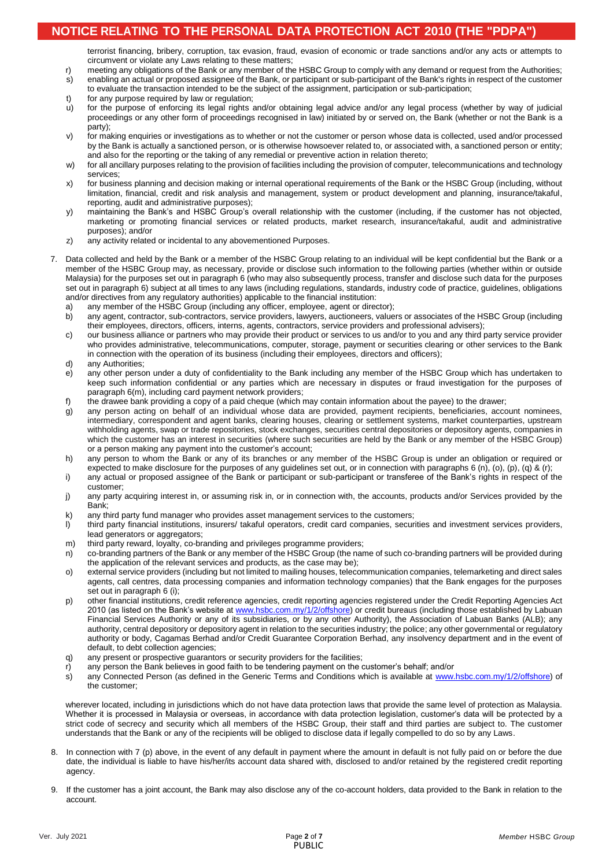# **NOTICE RELATING TO THE PERSONAL DATA PROTECTION ACT 2010 (THE "PDPA")**

terrorist financing, bribery, corruption, tax evasion, fraud, evasion of economic or trade sanctions and/or any acts or attempts to circumvent or violate any Laws relating to these matters;

- r) meeting any obligations of the Bank or any member of the HSBC Group to comply with any demand or request from the Authorities; s) enabling an actual or proposed assignee of the Bank, or participant or sub-participant of the Bank's rights in respect of the customer
- to evaluate the transaction intended to be the subject of the assignment, participation or sub-participation;
- t) for any purpose required by law or regulation;
- u) for the purpose of enforcing its legal rights and/or obtaining legal advice and/or any legal process (whether by way of judicial proceedings or any other form of proceedings recognised in law) initiated by or served on, the Bank (whether or not the Bank is a party);
- v) for making enquiries or investigations as to whether or not the customer or person whose data is collected, used and/or processed by the Bank is actually a sanctioned person, or is otherwise howsoever related to, or associated with, a sanctioned person or entity; and also for the reporting or the taking of any remedial or preventive action in relation thereto;
- w) for all ancillary purposes relating to the provision of facilities including the provision of computer, telecommunications and technology services;
- x) for business planning and decision making or internal operational requirements of the Bank or the HSBC Group (including, without limitation, financial, credit and risk analysis and management, system or product development and planning, insurance/takaful, reporting, audit and administrative purposes);
- y) maintaining the Bank's and HSBC Group's overall relationship with the customer (including, if the customer has not objected, marketing or promoting financial services or related products, market research, insurance/takaful, audit and administrative purposes); and/or
- z) any activity related or incidental to any abovementioned Purposes.
- 7. Data collected and held by the Bank or a member of the HSBC Group relating to an individual will be kept confidential but the Bank or a member of the HSBC Group may, as necessary, provide or disclose such information to the following parties (whether within or outside Malaysia) for the purposes set out in paragraph 6 (who may also subsequently process, transfer and disclose such data for the purposes set out in paragraph 6) subject at all times to any laws (including regulations, standards, industry code of practice, guidelines, obligations and/or directives from any regulatory authorities) applicable to the financial institution:
	- a) any member of the HSBC Group (including any officer, employee, agent or director);
	- b) any agent, contractor, sub-contractors, service providers, lawyers, auctioneers, valuers or associates of the HSBC Group (including their employees, directors, officers, interns, agents, contractors, service providers and professional advisers);
	- c) our business alliance or partners who may provide their product or services to us and/or to you and any third party service provider who provides administrative, telecommunications, computer, storage, payment or securities clearing or other services to the Bank in connection with the operation of its business (including their employees, directors and officers);
	- d) any Authorities;
	- e) any other person under a duty of confidentiality to the Bank including any member of the HSBC Group which has undertaken to keep such information confidential or any parties which are necessary in disputes or fraud investigation for the purposes of paragraph 6(m), including card payment network providers;
	- f) the drawee bank providing a copy of a paid cheque (which may contain information about the payee) to the drawer;
	- g) any person acting on behalf of an individual whose data are provided, payment recipients, beneficiaries, account nominees, intermediary, correspondent and agent banks, clearing houses, clearing or settlement systems, market counterparties, upstream withholding agents, swap or trade repositories, stock exchanges, securities central depositories or depository agents, companies in which the customer has an interest in securities (where such securities are held by the Bank or any member of the HSBC Group) or a person making any payment into the customer's account;
	- h) any person to whom the Bank or any of its branches or any member of the HSBC Group is under an obligation or required or expected to make disclosure for the purposes of any guidelines set out, or in connection with paragraphs 6 (n), (o), (p), (q) & (r);
	- i) any actual or proposed assignee of the Bank or participant or sub-participant or transferee of the Bank's rights in respect of the customer;
	- j) any party acquiring interest in, or assuming risk in, or in connection with, the accounts, products and/or Services provided by the Bank;
	- k) any third party fund manager who provides asset management services to the customers;
	- l) third party financial institutions, insurers/ takaful operators, credit card companies, securities and investment services providers, lead generators or aggregators;
	- m) third party reward, loyalty, co-branding and privileges programme providers;
	- n) co-branding partners of the Bank or any member of the HSBC Group (the name of such co-branding partners will be provided during the application of the relevant services and products, as the case may be);
	- o) external service providers (including but not limited to mailing houses, telecommunication companies, telemarketing and direct sales agents, call centres, data processing companies and information technology companies) that the Bank engages for the purposes set out in paragraph 6 (i);
	- p) other financial institutions, credit reference agencies, credit reporting agencies registered under the Credit Reporting Agencies Act 2010 (as listed on the Bank's website at [www.hsbc.com.my/1/2/offshore\)](http://www.hsbc.com.my/1/2/offshore) or credit bureaus (including those established by Labuan Financial Services Authority or any of its subsidiaries, or by any other Authority), the Association of Labuan Banks (ALB); any authority, central depository or depository agent in relation to the securities industry; the police; any other governmental or regulatory authority or body, Cagamas Berhad and/or Credit Guarantee Corporation Berhad, any insolvency department and in the event of default, to debt collection agencies;
	- q) any present or prospective guarantors or security providers for the facilities;
	- r) any person the Bank believes in good faith to be tendering payment on the customer's behalf; and/or
	- s) any Connected Person (as defined in the Generic Terms and Conditions which is available at [www.hsbc.com.my/1/2/offshore\)](file:///C:/Users/45085858/AppData/Local/Microsoft/Windows/INetCache/Content.Outlook/N3VI8J91/www.hsbc.com.my/1/2/offshore) of the customer;

wherever located, including in jurisdictions which do not have data protection laws that provide the same level of protection as Malaysia. Whether it is processed in Malaysia or overseas, in accordance with data protection legislation, customer's data will be protected by a strict code of secrecy and security which all members of the HSBC Group, their staff and third parties are subject to. The customer understands that the Bank or any of the recipients will be obliged to disclose data if legally compelled to do so by any Laws.

- 8. In connection with 7 (p) above, in the event of any default in payment where the amount in default is not fully paid on or before the due date, the individual is liable to have his/her/its account data shared with, disclosed to and/or retained by the registered credit reporting agency.
- 9. If the customer has a joint account, the Bank may also disclose any of the co-account holders, data provided to the Bank in relation to the account.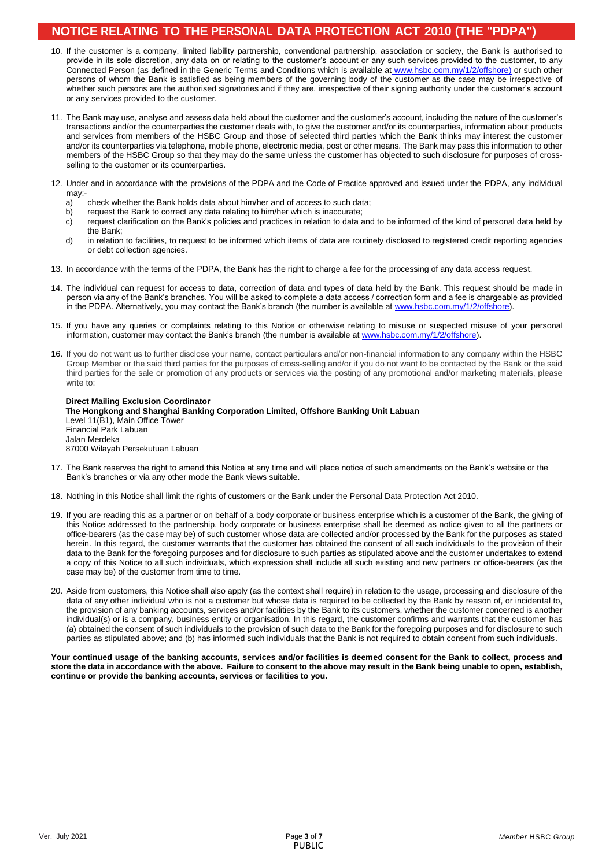# **NOTICE RELATING TO THE PERSONAL DATA PROTECTION ACT 2010 (THE "PDPA")**

- 10. If the customer is a company, limited liability partnership, conventional partnership, association or society, the Bank is authorised to provide in its sole discretion, any data on or relating to the customer's account or any such services provided to the customer, to any Connected Person (as defined in the Generic Terms and Conditions which is available at [www.hsbc.com.my/1/2/offshore\)](http://www.hsbc.com.my/1/2/offshore) or such other persons of whom the Bank is satisfied as being members of the governing body of the customer as the case may be irrespective of whether such persons are the authorised signatories and if they are, irrespective of their signing authority under the customer's account or any services provided to the customer.
- 11. The Bank may use, analyse and assess data held about the customer and the customer's account, including the nature of the customer's transactions and/or the counterparties the customer deals with, to give the customer and/or its counterparties, information about products and services from members of the HSBC Group and those of selected third parties which the Bank thinks may interest the customer and/or its counterparties via telephone, mobile phone, electronic media, post or other means. The Bank may pass this information to other members of the HSBC Group so that they may do the same unless the customer has objected to such disclosure for purposes of crossselling to the customer or its counterparties.
- 12. Under and in accordance with the provisions of the PDPA and the Code of Practice approved and issued under the PDPA, any individual may:<br>a)
	- a) check whether the Bank holds data about him/her and of access to such data;<br>b) request the Bank to correct any data relating to him/her which is inaccurate:
	- request the Bank to correct any data relating to him/her which is inaccurate;
	- c) request clarification on the Bank's policies and practices in relation to data and to be informed of the kind of personal data held by the Bank;
	- d) in relation to facilities, to request to be informed which items of data are routinely disclosed to registered credit reporting agencies or debt collection agencies.
- 13. In accordance with the terms of the PDPA, the Bank has the right to charge a fee for the processing of any data access request.
- 14. The individual can request for access to data, correction of data and types of data held by the Bank. This request should be made in person via any of the Bank's branches. You will be asked to complete a data access / correction form and a fee is chargeable as provided in the PDPA. Alternatively, you may contact the Bank's branch (the number is available at [www.hsbc.com.my/1/2/offshore\)](file:///C:/Users/45085858/AppData/Local/Microsoft/Windows/INetCache/Content.Outlook/N3VI8J91/www.hsbc.com.my/1/2/offshore).
- 15. If you have any queries or complaints relating to this Notice or otherwise relating to misuse or suspected misuse of your personal information, customer may contact the Bank's branch (the number is available at [www.hsbc.com.my/1/2/offshore\)](http://www.hsbc.com.my/1/2/offshore).
- 16. If you do not want us to further disclose your name, contact particulars and/or non-financial information to any company within the HSBC Group Member or the said third parties for the purposes of cross-selling and/or if you do not want to be contacted by the Bank or the said third parties for the sale or promotion of any products or services via the posting of any promotional and/or marketing materials, please write to:

**Direct Mailing Exclusion Coordinator The Hongkong and Shanghai Banking Corporation Limited, Offshore Banking Unit Labuan** Level 11(B1), Main Office Tower Financial Park Labuan Jalan Merdeka 87000 Wilayah Persekutuan Labuan

- 17. The Bank reserves the right to amend this Notice at any time and will place notice of such amendments on the Bank's website or the Bank's branches or via any other mode the Bank views suitable.
- 18. Nothing in this Notice shall limit the rights of customers or the Bank under the Personal Data Protection Act 2010.
- 19. If you are reading this as a partner or on behalf of a body corporate or business enterprise which is a customer of the Bank, the giving of this Notice addressed to the partnership, body corporate or business enterprise shall be deemed as notice given to all the partners or office-bearers (as the case may be) of such customer whose data are collected and/or processed by the Bank for the purposes as stated herein. In this regard, the customer warrants that the customer has obtained the consent of all such individuals to the provision of their data to the Bank for the foregoing purposes and for disclosure to such parties as stipulated above and the customer undertakes to extend a copy of this Notice to all such individuals, which expression shall include all such existing and new partners or office-bearers (as the case may be) of the customer from time to time.
- 20. Aside from customers, this Notice shall also apply (as the context shall require) in relation to the usage, processing and disclosure of the data of any other individual who is not a customer but whose data is required to be collected by the Bank by reason of, or incidental to, the provision of any banking accounts, services and/or facilities by the Bank to its customers, whether the customer concerned is another individual(s) or is a company, business entity or organisation. In this regard, the customer confirms and warrants that the customer has (a) obtained the consent of such individuals to the provision of such data to the Bank for the foregoing purposes and for disclosure to such parties as stipulated above; and (b) has informed such individuals that the Bank is not required to obtain consent from such individuals.

**Your continued usage of the banking accounts, services and/or facilities is deemed consent for the Bank to collect, process and store the data in accordance with the above. Failure to consent to the above may result in the Bank being unable to open, establish, continue or provide the banking accounts, services or facilities to you.**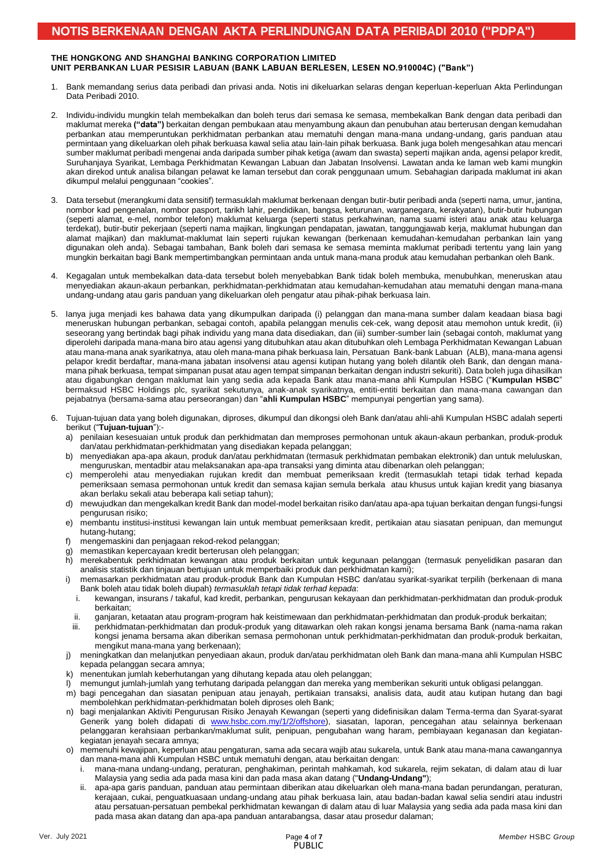### THE HONGRONG AND SHANGHAI BANKING CORPORATION LIMITED<br>UNIT PERBANKAN LUAR PESISIR LABUAN (BANK LABUAN BERLESEN, LESEN NO.910004C) ("Bank") **THE HONGKONG AND SHANGHAI BANKING CORPORATION LIMITED**

- 1. Bank memandang serius data peribadi dan privasi anda. Notis ini dikeluarkan selaras dengan keperluan-keperluan Akta Perlindungan Data Peribadi 2010.
- 2. Individu-individu mungkin telah membekalkan dan boleh terus dari semasa ke semasa, membekalkan Bank dengan data peribadi dan maklumat mereka **("data")** berkaitan dengan pembukaan atau menyambung akaun dan penubuhan atau berterusan dengan kemudahan perbankan atau memperuntukan perkhidmatan perbankan atau mematuhi dengan mana-mana undang-undang, garis panduan atau permintaan yang dikeluarkan oleh pihak berkuasa kawal selia atau lain-lain pihak berkuasa. Bank juga boleh mengesahkan atau mencari sumber maklumat peribadi mengenai anda daripada sumber pihak ketiga (awam dan swasta) seperti majikan anda, agensi pelapor kredit, Suruhanjaya Syarikat, Lembaga Perkhidmatan Kewangan Labuan dan Jabatan Insolvensi. Lawatan anda ke laman web kami mungkin akan direkod untuk analisa bilangan pelawat ke laman tersebut dan corak penggunaan umum. Sebahagian daripada maklumat ini akan dikumpul melalui penggunaan "cookies".
- 3. Data tersebut (merangkumi data sensitif) termasuklah maklumat berkenaan dengan butir-butir peribadi anda (seperti nama, umur, jantina, nombor kad pengenalan, nombor pasport, tarikh lahir, pendidikan, bangsa, keturunan, warganegara, kerakyatan), butir-butir hubungan (seperti alamat, e-mel, nombor telefon) maklumat keluarga (seperti status perkahwinan, nama suami isteri atau anak atau keluarga terdekat), butir-butir pekerjaan (seperti nama majikan, lingkungan pendapatan, jawatan, tanggungjawab kerja, maklumat hubungan dan alamat majikan) dan maklumat-maklumat lain seperti rujukan kewangan (berkenaan kemudahan-kemudahan perbankan lain yang digunakan oleh anda). Sebagai tambahan, Bank boleh dari semasa ke semasa meminta maklumat peribadi tertentu yang lain yang mungkin berkaitan bagi Bank mempertimbangkan permintaan anda untuk mana-mana produk atau kemudahan perbankan oleh Bank.
- 4. Kegagalan untuk membekalkan data-data tersebut boleh menyebabkan Bank tidak boleh membuka, menubuhkan, meneruskan atau menyediakan akaun-akaun perbankan, perkhidmatan-perkhidmatan atau kemudahan-kemudahan atau mematuhi dengan mana-mana undang-undang atau garis panduan yang dikeluarkan oleh pengatur atau pihak-pihak berkuasa lain.
- 5. Ianya juga menjadi kes bahawa data yang dikumpulkan daripada (i) pelanggan dan mana-mana sumber dalam keadaan biasa bagi meneruskan hubungan perbankan, sebagai contoh, apabila pelanggan menulis cek-cek, wang deposit atau memohon untuk kredit, (ii) seseorang yang bertindak bagi pihak individu yang mana data disediakan, dan (iii) sumber-sumber lain (sebagai contoh, maklumat yang diperolehi daripada mana-mana biro atau agensi yang ditubuhkan atau akan ditubuhkan oleh Lembaga Perkhidmatan Kewangan Labuan atau mana-mana anak syarikatnya, atau oleh mana-mana pihak berkuasa lain, Persatuan Bank-bank Labuan (ALB), mana-mana agensi pelapor kredit berdaftar, mana-mana jabatan insolvensi atau agensi kutipan hutang yang boleh dilantik oleh Bank, dan dengan manamana pihak berkuasa, tempat simpanan pusat atau agen tempat simpanan berkaitan dengan industri sekuriti). Data boleh juga dihasilkan atau digabungkan dengan maklumat lain yang sedia ada kepada Bank atau mana-mana ahli Kumpulan HSBC ("**Kumpulan HSBC**" bermaksud HSBC Holdings plc, syarikat sekutunya, anak-anak syarikatnya, entiti-entiti berkaitan dan mana-mana cawangan dan pejabatnya (bersama-sama atau perseorangan) dan "**ahli Kumpulan HSBC**" mempunyai pengertian yang sama).
- 6. Tujuan-tujuan data yang boleh digunakan, diproses, dikumpul dan dikongsi oleh Bank dan/atau ahli-ahli Kumpulan HSBC adalah seperti berikut ("**Tujuan-tujuan**"):
	- a) penilaian kesesuaian untuk produk dan perkhidmatan dan memproses permohonan untuk akaun-akaun perbankan, produk-produk dan/atau perkhidmatan-perkhidmatan yang disediakan kepada pelanggan;
	- b) menyediakan apa-apa akaun, produk dan/atau perkhidmatan (termasuk perkhidmatan pembakan elektronik) dan untuk meluluskan, menguruskan, mentadbir atau melaksanakan apa-apa transaksi yang diminta atau dibenarkan oleh pelanggan;
	- c) memperolehi atau menyediakan rujukan kredit dan membuat pemeriksaan kredit (termasuklah tetapi tidak terhad kepada pemeriksaan semasa permohonan untuk kredit dan semasa kajian semula berkala atau khusus untuk kajian kredit yang biasanya akan berlaku sekali atau beberapa kali setiap tahun);
	- d) mewujudkan dan mengekalkan kredit Bank dan model-model berkaitan risiko dan/atau apa-apa tujuan berkaitan dengan fungsi-fungsi pengurusan risiko;
	- e) membantu institusi-institusi kewangan lain untuk membuat pemeriksaan kredit, pertikaian atau siasatan penipuan, dan memungut hutang-hutang;
	- f) mengemaskini dan penjagaan rekod-rekod pelanggan;
	- g) memastikan kepercayaan kredit berterusan oleh pelanggan;
	- h) merekabentuk perkhidmatan kewangan atau produk berkaitan untuk kegunaan pelanggan (termasuk penyelidikan pasaran dan analisis statistik dan tinjauan bertujuan untuk memperbaiki produk dan perkhidmatan kami);
	- i) memasarkan perkhidmatan atau produk-produk Bank dan Kumpulan HSBC dan/atau syarikat-syarikat terpilih (berkenaan di mana Bank boleh atau tidak boleh diupah) *termasuklah tetapi tidak terhad kepada*:
		- i. kewangan, insurans / takaful, kad kredit, perbankan, pengurusan kekayaan dan perkhidmatan-perkhidmatan dan produk-produk berkaitan;
		- ii. ganjaran, ketaatan atau program-program hak keistimewaan dan perkhidmatan-perkhidmatan dan produk-produk berkaitan;
	- iii. perkhidmatan-perkhidmatan dan produk-produk yang ditawarkan oleh rakan kongsi jenama bersama Bank (nama-nama rakan kongsi jenama bersama akan diberikan semasa permohonan untuk perkhidmatan-perkhidmatan dan produk-produk berkaitan, mengikut mana-mana yang berkenaan);
	- j) meningkatkan dan melanjutkan penyediaan akaun, produk dan/atau perkhidmatan oleh Bank dan mana-mana ahli Kumpulan HSBC kepada pelanggan secara amnya;
	- k) menentukan jumlah keberhutangan yang dihutang kepada atau oleh pelanggan;
		- l) memungut jumlah-jumlah yang terhutang daripada pelanggan dan mereka yang memberikan sekuriti untuk obligasi pelanggan.
	- m) bagi pencegahan dan siasatan penipuan atau jenayah, pertikaian transaksi, analisis data, audit atau kutipan hutang dan bagi membolehkan perkhidmatan-perkhidmatan boleh diproses oleh Bank;
	- n) bagi menjalankan Aktiviti Pengurusan Risiko Jenayah Kewangan (seperti yang didefinisikan dalam Terma-terma dan Syarat-syarat Generik yang boleh didapati di [www.hsbc.com.my/1/2/offshore\)](file:///C:/Users/45085858/AppData/Local/Microsoft/Windows/INetCache/Content.Outlook/N3VI8J91/www.hsbc.com.my/1/2/offshore), siasatan, laporan, pencegahan atau selainnya berkenaan pelanggaran kerahsiaan perbankan/maklumat sulit, penipuan, pengubahan wang haram, pembiayaan keganasan dan kegiatankegiatan jenayah secara amnya;
	- o) memenuhi kewajipan, keperluan atau pengaturan, sama ada secara wajib atau sukarela, untuk Bank atau mana-mana cawangannya dan mana-mana ahli Kumpulan HSBC untuk mematuhi dengan, atau berkaitan dengan:
		- i. mana-mana undang-undang, peraturan, penghakiman, perintah mahkamah, kod sukarela, rejim sekatan, di dalam atau di luar Malaysia yang sedia ada pada masa kini dan pada masa akan datang ("**Undang-Undang"**);
		- ii. apa-apa garis panduan, panduan atau permintaan diberikan atau dikeluarkan oleh mana-mana badan perundangan, peraturan, kerajaan, cukai, penguatkuasaan undang-undang atau pihak berkuasa lain, atau badan-badan kawal selia sendiri atau industri atau persatuan-persatuan pembekal perkhidmatan kewangan di dalam atau di luar Malaysia yang sedia ada pada masa kini dan pada masa akan datang dan apa-apa panduan antarabangsa, dasar atau prosedur dalaman;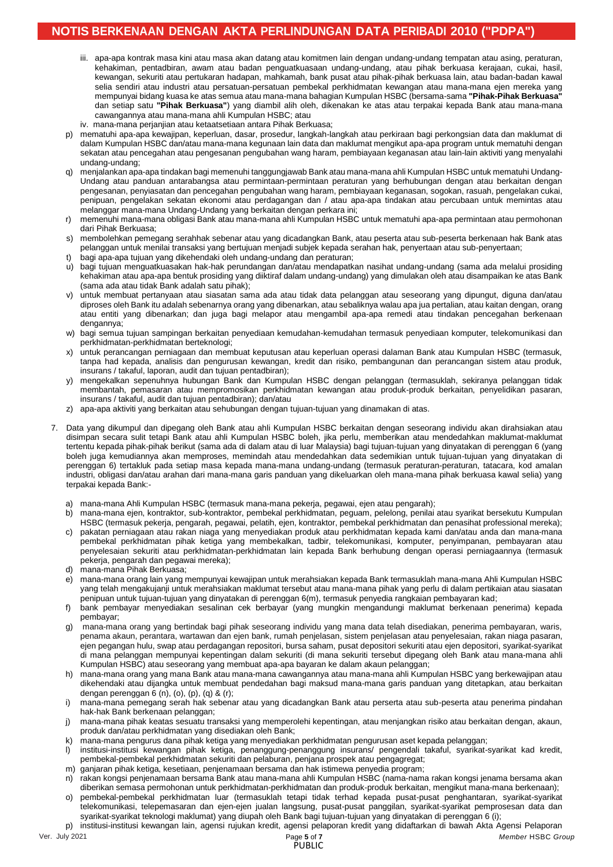# **NOTIS BERKENAAN DENGAN AKTA PERLINDUNGAN DATA PERIBADI 2010 ("PDPA")**

- iii. apa-apa kuntuak masa kini atau masa akan uatang atau kumumen iain dengan undang-undang tempatan atau asing,<br>kehakiman, pentadbiran, awam atau badan penguatkuasaan undang-undang, atau pihak berkuasa kerajaan, cukai, ha iii. apa-apa kontrak masa kini atau masa akan datang atau komitmen lain dengan undang-undang tempatan atau asing, peraturan, kewangan, sekuriti atau pertukaran hadapan, mahkamah, bank pusat atau pihak-pihak berkuasa lain, atau badan-badan kawal selia sendiri atau industri atau persatuan-persatuan pembekal perkhidmatan kewangan atau mana-mana ejen mereka yang mempunyai bidang kuasa ke atas semua atau mana-mana bahagian Kumpulan HSBC (bersama-sama **"Pihak-Pihak Berkuasa"** dan setiap satu **"Pihak Berkuasa"**) yang diambil alih oleh, dikenakan ke atas atau terpakai kepada Bank atau mana-mana cawangannya atau mana-mana ahli Kumpulan HSBC; atau
	- iv. mana-mana perjanjian atau ketaatsetiaan antara Pihak Berkuasa;
	- p) mematuhi apa-apa kewajipan, keperluan, dasar, prosedur, langkah-langkah atau perkiraan bagi perkongsian data dan maklumat di dalam Kumpulan HSBC dan/atau mana-mana kegunaan lain data dan maklumat mengikut apa-apa program untuk mematuhi dengan sekatan atau pencegahan atau pengesanan pengubahan wang haram, pembiayaan keganasan atau lain-lain aktiviti yang menyalahi undang-undang;
	- q) menjalankan apa-apa tindakan bagi memenuhi tanggungjawab Bank atau mana-mana ahli Kumpulan HSBC untuk mematuhi Undang-Undang atau panduan antarabangsa atau permintaan-permintaan peraturan yang berhubungan dengan atau berkaitan dengan pengesanan, penyiasatan dan pencegahan pengubahan wang haram, pembiayaan keganasan, sogokan, rasuah, pengelakan cukai, penipuan, pengelakan sekatan ekonomi atau perdagangan dan / atau apa-apa tindakan atau percubaan untuk memintas atau melanggar mana-mana Undang-Undang yang berkaitan dengan perkara ini;
	- r) memenuhi mana-mana obligasi Bank atau mana-mana ahli Kumpulan HSBC untuk mematuhi apa-apa permintaan atau permohonan dari Pihak Berkuasa;
	- s) membolehkan pemegang serahhak sebenar atau yang dicadangkan Bank, atau peserta atau sub-peserta berkenaan hak Bank atas pelanggan untuk menilai transaksi yang bertujuan menjadi subjek kepada serahan hak, penyertaan atau sub-penyertaan;
	- bagi apa-apa tujuan yang dikehendaki oleh undang-undang dan peraturan;
	- u) bagi tujuan menguatkuasakan hak-hak perundangan dan/atau mendapatkan nasihat undang-undang (sama ada melalui prosiding kehakiman atau apa-apa bentuk prosiding yang diiktiraf dalam undang-undang) yang dimulakan oleh atau disampaikan ke atas Bank (sama ada atau tidak Bank adalah satu pihak);
	- untuk membuat pertanyaan atau siasatan sama ada atau tidak data pelanggan atau seseorang yang dipungut, diguna dan/atau diproses oleh Bank itu adalah sebenarnya orang yang dibenarkan, atau sebaliknya walau apa jua pertalian, atau kaitan dengan, orang atau entiti yang dibenarkan; dan juga bagi melapor atau mengambil apa-apa remedi atau tindakan pencegahan berkenaan dengannya;
	- w) bagi semua tujuan sampingan berkaitan penyediaan kemudahan-kemudahan termasuk penyediaan komputer, telekomunikasi dan perkhidmatan-perkhidmatan berteknologi;
	- x) untuk perancangan perniagaan dan membuat keputusan atau keperluan operasi dalaman Bank atau Kumpulan HSBC (termasuk, tanpa had kepada, analisis dan pengurusan kewangan, kredit dan risiko, pembangunan dan perancangan sistem atau produk, insurans / takaful, laporan, audit dan tujuan pentadbiran);
	- y) mengekalkan sepenuhnya hubungan Bank dan Kumpulan HSBC dengan pelanggan (termasuklah, sekiranya pelanggan tidak membantah, pemasaran atau mempromosikan perkhidmatan kewangan atau produk-produk berkaitan, penyelidikan pasaran, insurans / takaful, audit dan tujuan pentadbiran); dan/atau
	- z) apa-apa aktiviti yang berkaitan atau sehubungan dengan tujuan-tujuan yang dinamakan di atas.
- 7. Data yang dikumpul dan dipegang oleh Bank atau ahli Kumpulan HSBC berkaitan dengan seseorang individu akan dirahsiakan atau disimpan secara sulit tetapi Bank atau ahli Kumpulan HSBC boleh, jika perlu, memberikan atau mendedahkan maklumat-maklumat tertentu kepada pihak-pihak berikut (sama ada di dalam atau di luar Malaysia) bagi tujuan-tujuan yang dinyatakan di perenggan 6 (yang boleh juga kemudiannya akan memproses, memindah atau mendedahkan data sedemikian untuk tujuan-tujuan yang dinyatakan di perenggan 6) tertakluk pada setiap masa kepada mana-mana undang-undang (termasuk peraturan-peraturan, tatacara, kod amalan industri, obligasi dan/atau arahan dari mana-mana garis panduan yang dikeluarkan oleh mana-mana pihak berkuasa kawal selia) yang terpakai kepada Bank:
	- a) mana-mana Ahli Kumpulan HSBC (termasuk mana-mana pekerja, pegawai, ejen atau pengarah);
	- b) mana-mana ejen, kontraktor, sub-kontraktor, pembekal perkhidmatan, peguam, pelelong, penilai atau syarikat bersekutu Kumpulan HSBC (termasuk pekerja, pengarah, pegawai, pelatih, ejen, kontraktor, pembekal perkhidmatan dan penasihat professional mereka);
	- c) pakatan perniagaan atau rakan niaga yang menyediakan produk atau perkhidmatan kepada kami dan/atau anda dan mana-mana pembekal perkhidmatan pihak ketiga yang membekalkan, tadbir, telekomunikasi, komputer, penyimpanan, pembayaran atau penyelesaian sekuriti atau perkhidmatan-perkhidmatan lain kepada Bank berhubung dengan operasi perniagaannya (termasuk pekerja, pengarah dan pegawai mereka);
	- d) mana-mana Pihak Berkuasa;
	- e) mana-mana orang lain yang mempunyai kewajipan untuk merahsiakan kepada Bank termasuklah mana-mana Ahli Kumpulan HSBC yang telah mengakujanji untuk merahsiakan maklumat tersebut atau mana-mana pihak yang perlu di dalam pertikaian atau siasatan penipuan untuk tujuan-tujuan yang dinyatakan di perenggan 6(m), termasuk penyedia rangkaian pembayaran kad;
	- f) bank pembayar menyediakan sesalinan cek berbayar (yang mungkin mengandungi maklumat berkenaan penerima) kepada pembayar;
	- g) mana-mana orang yang bertindak bagi pihak seseorang individu yang mana data telah disediakan, penerima pembayaran, waris, penama akaun, perantara, wartawan dan ejen bank, rumah penjelasan, sistem penjelasan atau penyelesaian, rakan niaga pasaran, ejen pegangan hulu, swap atau perdagangan repositori, bursa saham, pusat depositori sekuriti atau ejen depositori, syarikat-syarikat di mana pelanggan mempunyai kepentingan dalam sekuriti (di mana sekuriti tersebut dipegang oleh Bank atau mana-mana ahli Kumpulan HSBC) atau seseorang yang membuat apa-apa bayaran ke dalam akaun pelanggan;
	- h) mana-mana orang yang mana Bank atau mana-mana cawangannya atau mana-mana ahli Kumpulan HSBC yang berkewajipan atau dikehendaki atau dijangka untuk membuat pendedahan bagi maksud mana-mana garis panduan yang ditetapkan, atau berkaitan dengan perenggan 6 (n), (o), (p), (q) & (r);
	- i) mana-mana pemegang serah hak sebenar atau yang dicadangkan Bank atau perserta atau sub-peserta atau penerima pindahan hak-hak Bank berkenaan pelanggan;
	- j) mana-mana pihak keatas sesuatu transaksi yang memperolehi kepentingan, atau menjangkan risiko atau berkaitan dengan, akaun, produk dan/atau perkhidmatan yang disediakan oleh Bank;
	- k) mana-mana pengurus dana pihak ketiga yang menyediakan perkhidmatan pengurusan aset kepada pelanggan;
	- l) institusi-institusi kewangan pihak ketiga, penanggung-penanggung insurans/ pengendali takaful, syarikat-syarikat kad kredit, pembekal-pembekal perkhidmatan sekuriti dan pelaburan, penjana prospek atau pengagregat;
	- m) ganjaran pihak ketiga, kesetiaan, penjenamaan bersama dan hak istimewa penyedia program;
	- n) rakan kongsi penjenamaan bersama Bank atau mana-mana ahli Kumpulan HSBC (nama-nama rakan kongsi jenama bersama akan diberikan semasa permohonan untuk perkhidmatan-perkhidmatan dan produk-produk berkaitan, mengikut mana-mana berkenaan);
	- o) pembekal-pembekal perkhidmatan luar (termasuklah tetapi tidak terhad kepada pusat-pusat penghantaran, syarikat-syarikat telekomunikasi, telepemasaran dan ejen-ejen jualan langsung, pusat-pusat panggilan, syarikat-syarikat pemprosesan data dan syarikat-syarikat teknologi maklumat) yang diupah oleh Bank bagi tujuan-tujuan yang dinyatakan di perenggan 6 (i); p) institusi-institusi kewangan lain, agensi rujukan kredit, agensi pelaporan kredit yang didaftarkan di bawah Akta Agensi Pelaporan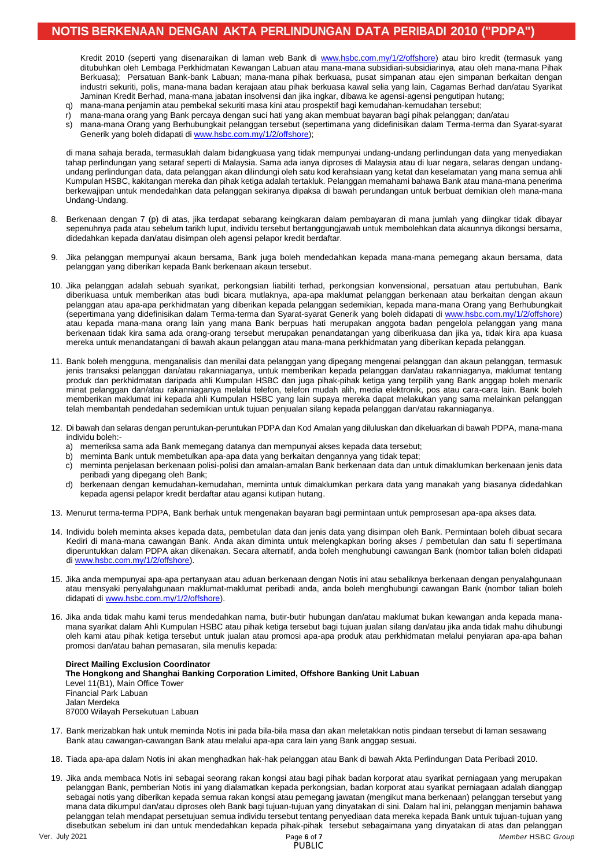## **NOTIS BERKENAAN DENGAN AKTA PERLINDUNGAN DATA PERIBADI 2010 ("PDPA")**

Kiledin 2010 (seperti yang disenarakan di laman web Bank di www.hsbc.com.my/h/z/onshore) atau bilo kledit (temiasuk yang<br>ditubuhkan oleh Lembaga Perkhidmatan Kewangan Labuan atau mana-mana subsidiari-subsidiarinya, atau ol Kredit 2010 (seperti yang disenaraikan di laman web Bank di [www.hsbc.com.my/1/2/offshore\)](http://www.hsbc.com.my/1/2/offshore) atau biro kredit (termasuk yang Berkuasa); Persatuan Bank-bank Labuan; mana-mana pihak berkuasa, pusat simpanan atau ejen simpanan berkaitan dengan industri sekuriti, polis, mana-mana badan kerajaan atau pihak berkuasa kawal selia yang lain, Cagamas Berhad dan/atau Syarikat Jaminan Kredit Berhad, mana-mana jabatan insolvensi dan jika ingkar, dibawa ke agensi-agensi pengutipan hutang;

- q) mana-mana penjamin atau pembekal sekuriti masa kini atau prospektif bagi kemudahan-kemudahan tersebut;
- r) mana-mana orang yang Bank percaya dengan suci hati yang akan membuat bayaran bagi pihak pelanggan; dan/atau
- s) mana-mana Orang yang Berhubungkait pelanggan tersebut (sepertimana yang didefinisikan dalam Terma-terma dan Syarat-syarat Generik yang boleh didapati d[i www.hsbc.com.my/1/2/offshore\)](file:///C:/Users/45101936/AppData/Local/Microsoft/Windows/INetCache/Content.Outlook/YM33AT6Q/www.hsbc.com.my/1/2/offshore);

di mana sahaja berada, termasuklah dalam bidangkuasa yang tidak mempunyai undang-undang perlindungan data yang menyediakan tahap perlindungan yang setaraf seperti di Malaysia. Sama ada ianya diproses di Malaysia atau di luar negara, selaras dengan undangundang perlindungan data, data pelanggan akan dilindungi oleh satu kod kerahsiaan yang ketat dan keselamatan yang mana semua ahli Kumpulan HSBC, kakitangan mereka dan pihak ketiga adalah tertakluk. Pelanggan memahami bahawa Bank atau mana-mana penerima berkewajipan untuk mendedahkan data pelanggan sekiranya dipaksa di bawah perundangan untuk berbuat demikian oleh mana-mana Undang-Undang.

- 8. Berkenaan dengan 7 (p) di atas, jika terdapat sebarang keingkaran dalam pembayaran di mana jumlah yang diingkar tidak dibayar sepenuhnya pada atau sebelum tarikh luput, individu tersebut bertanggungjawab untuk membolehkan data akaunnya dikongsi bersama, didedahkan kepada dan/atau disimpan oleh agensi pelapor kredit berdaftar.
- 9. Jika pelanggan mempunyai akaun bersama, Bank juga boleh mendedahkan kepada mana-mana pemegang akaun bersama, data pelanggan yang diberikan kepada Bank berkenaan akaun tersebut.
- 10. Jika pelanggan adalah sebuah syarikat, perkongsian liabiliti terhad, perkongsian konvensional, persatuan atau pertubuhan, Bank diberikuasa untuk memberikan atas budi bicara mutlaknya, apa-apa maklumat pelanggan berkenaan atau berkaitan dengan akaun pelanggan atau apa-apa perkhidmatan yang diberikan kepada pelanggan sedemikian, kepada mana-mana Orang yang Berhubungkait (sepertimana yang didefinisikan dalam Terma-terma dan Syarat-syarat Generik yang boleh didapati di [www.hsbc.com.my/1/2/offshore\)](file:///C:/Users/45101936/AppData/Local/Microsoft/Windows/INetCache/Content.Outlook/YM33AT6Q/www.hsbc.com.my/1/2/offshore) atau kepada mana-mana orang lain yang mana Bank berpuas hati merupakan anggota badan pengelola pelanggan yang mana berkenaan tidak kira sama ada orang-orang tersebut merupakan penandatangan yang diberikuasa dan jika ya, tidak kira apa kuasa mereka untuk menandatangani di bawah akaun pelanggan atau mana-mana perkhidmatan yang diberikan kepada pelanggan.
- 11. Bank boleh mengguna, menganalisis dan menilai data pelanggan yang dipegang mengenai pelanggan dan akaun pelanggan, termasuk jenis transaksi pelanggan dan/atau rakanniaganya, untuk memberikan kepada pelanggan dan/atau rakanniaganya, maklumat tentang produk dan perkhidmatan daripada ahli Kumpulan HSBC dan juga pihak-pihak ketiga yang terpilih yang Bank anggap boleh menarik minat pelanggan dan/atau rakanniaganya melalui telefon, telefon mudah alih, media elektronik, pos atau cara-cara lain. Bank boleh memberikan maklumat ini kepada ahli Kumpulan HSBC yang lain supaya mereka dapat melakukan yang sama melainkan pelanggan telah membantah pendedahan sedemikian untuk tujuan penjualan silang kepada pelanggan dan/atau rakanniaganya.
- 12. Di bawah dan selaras dengan peruntukan-peruntukan PDPA dan Kod Amalan yang diluluskan dan dikeluarkan di bawah PDPA, mana-mana individu boleh:
	- a) memeriksa sama ada Bank memegang datanya dan mempunyai akses kepada data tersebut;
	- b) meminta Bank untuk membetulkan apa-apa data yang berkaitan dengannya yang tidak tepat;
	- c) meminta penjelasan berkenaan polisi-polisi dan amalan-amalan Bank berkenaan data dan untuk dimaklumkan berkenaan jenis data peribadi yang dipegang oleh Bank;
	- d) berkenaan dengan kemudahan-kemudahan, meminta untuk dimaklumkan perkara data yang manakah yang biasanya didedahkan kepada agensi pelapor kredit berdaftar atau agansi kutipan hutang.
- 13. Menurut terma-terma PDPA, Bank berhak untuk mengenakan bayaran bagi permintaan untuk pemprosesan apa-apa akses data.
- 14. Individu boleh meminta akses kepada data, pembetulan data dan jenis data yang disimpan oleh Bank. Permintaan boleh dibuat secara Kediri di mana-mana cawangan Bank. Anda akan diminta untuk melengkapkan boring akses / pembetulan dan satu fi sepertimana diperuntukkan dalam PDPA akan dikenakan. Secara alternatif, anda boleh menghubungi cawangan Bank (nombor talian boleh didapati di [www.hsbc.com.my/1/2/offshore\)](file:///C:/Users/45101936/AppData/Local/Microsoft/Windows/INetCache/Content.Outlook/YM33AT6Q/www.hsbc.com.my/1/2/offshore).
- 15. Jika anda mempunyai apa-apa pertanyaan atau aduan berkenaan dengan Notis ini atau sebaliknya berkenaan dengan penyalahgunaan atau mensyaki penyalahgunaan maklumat-maklumat peribadi anda, anda boleh menghubungi cawangan Bank (nombor talian boleh didapati di [www.hsbc.com.my/1/2/offshore\)](http://www.hsbc.com.my/1/2/offshore).
- 16. Jika anda tidak mahu kami terus mendedahkan nama, butir-butir hubungan dan/atau maklumat bukan kewangan anda kepada manamana syarikat dalam Ahli Kumpulan HSBC atau pihak ketiga tersebut bagi tujuan jualan silang dan/atau jika anda tidak mahu dihubungi oleh kami atau pihak ketiga tersebut untuk jualan atau promosi apa-apa produk atau perkhidmatan melalui penyiaran apa-apa bahan promosi dan/atau bahan pemasaran, sila menulis kepada:

#### **Direct Mailing Exclusion Coordinator The Hongkong and Shanghai Banking Corporation Limited, Offshore Banking Unit Labuan** Level 11(B1), Main Office Tower Financial Park Labuan Jalan Merdeka 87000 Wilayah Persekutuan Labuan

- 17. Bank merizabkan hak untuk meminda Notis ini pada bila-bila masa dan akan meletakkan notis pindaan tersebut di laman sesawang Bank atau cawangan-cawangan Bank atau melalui apa-apa cara lain yang Bank anggap sesuai.
- 18. Tiada apa-apa dalam Notis ini akan menghadkan hak-hak pelanggan atau Bank di bawah Akta Perlindungan Data Peribadi 2010.
- 19. Jika anda membaca Notis ini sebagai seorang rakan kongsi atau bagi pihak badan korporat atau syarikat perniagaan yang merupakan pelanggan Bank, pemberian Notis ini yang dialamatkan kepada perkongsian, badan korporat atau syarikat perniagaan adalah dianggap sebagai notis yang diberikan kepada semua rakan kongsi atau pemegang jawatan (mengikut mana berkenaan) pelanggan tersebut yang mana data dikumpul dan/atau diproses oleh Bank bagi tujuan-tujuan yang dinyatakan di sini. Dalam hal ini, pelanggan menjamin bahawa pelanggan telah mendapat persetujuan semua individu tersebut tentang penyediaan data mereka kepada Bank untuk tujuan-tujuan yang disebutkan sebelum ini dan untuk mendedahkan kepada pihak-pihak tersebut sebagaimana yang dinyatakan di atas dan pelanggan